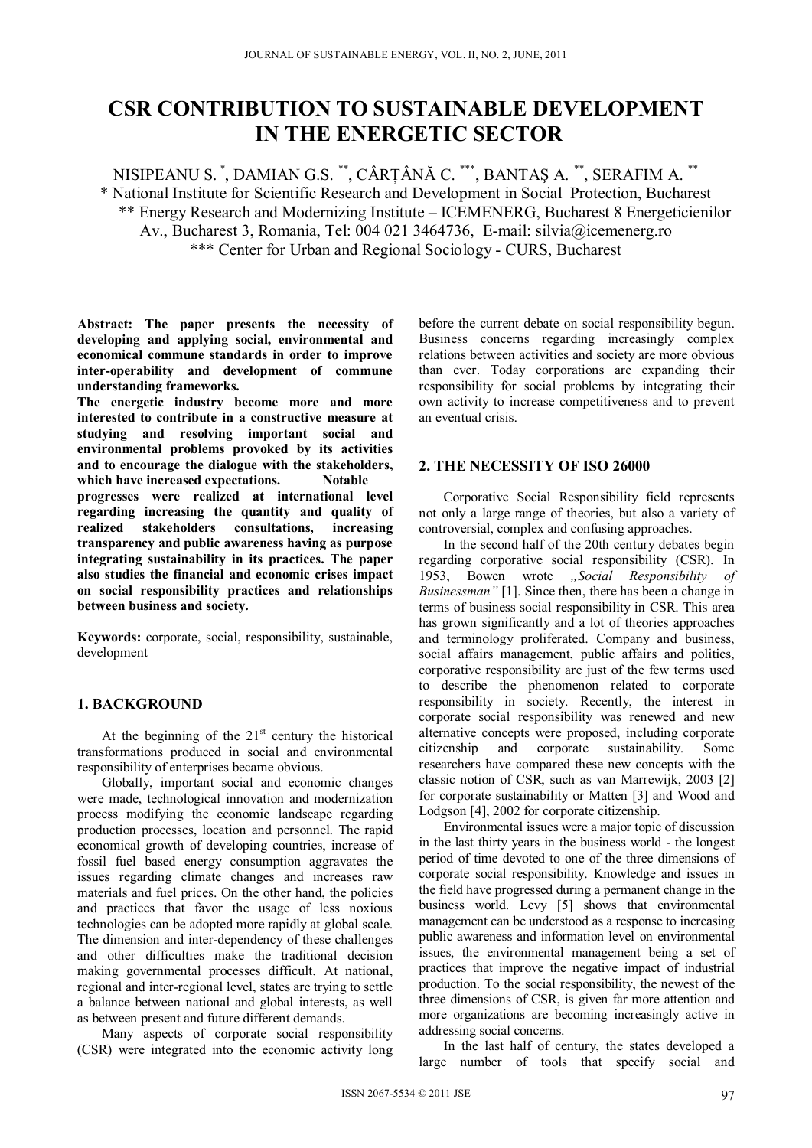# **CSR CONTRIBUTION TO SUSTAINABLE DEVELOPMENT IN THE ENERGETIC SECTOR**

NISIPEANU S. \*, DAMIAN G.S. \*\*, CÂRŢÂNĂ C. \*\*\*, BANTAŞ A. \*\*, SERAFIM A. \*\* \* National Institute for Scientific Research and Development in Social Protection, Bucharest \*\* Energy Research and Modernizing Institute – ICEMENERG, Bucharest 8 Energeticienilor Av., Bucharest 3, Romania, Tel: 004 021 3464736, E-mail: silvia@icemenerg.ro \*\*\* Center for Urban and Regional Sociology - CURS, Bucharest

**Abstract: The paper presents the necessity of developing and applying social, environmental and economical commune standards in order to improve inter-operability and development of commune understanding frameworks.** 

**The energetic industry become more and more interested to contribute in a constructive measure at studying and resolving important social and environmental problems provoked by its activities and to encourage the dialogue with the stakeholders,**  which have increased expectations. Notable **progresses were realized at international level regarding increasing the quantity and quality of realized stakeholders consultations, increasing transparency and public awareness having as purpose integrating sustainability in its practices. The paper also studies the financial and economic crises impact on social responsibility practices and relationships between business and society.** 

**Keywords:** corporate, social, responsibility, sustainable, development

# **1. BACKGROUND**

At the beginning of the  $21<sup>st</sup>$  century the historical transformations produced in social and environmental responsibility of enterprises became obvious.

Globally, important social and economic changes were made, technological innovation and modernization process modifying the economic landscape regarding production processes, location and personnel. The rapid economical growth of developing countries, increase of fossil fuel based energy consumption aggravates the issues regarding climate changes and increases raw materials and fuel prices. On the other hand, the policies and practices that favor the usage of less noxious technologies can be adopted more rapidly at global scale. The dimension and inter-dependency of these challenges and other difficulties make the traditional decision making governmental processes difficult. At national, regional and inter-regional level, states are trying to settle a balance between national and global interests, as well as between present and future different demands.

Many aspects of corporate social responsibility (CSR) were integrated into the economic activity long before the current debate on social responsibility begun. Business concerns regarding increasingly complex relations between activities and society are more obvious than ever. Today corporations are expanding their responsibility for social problems by integrating their own activity to increase competitiveness and to prevent an eventual crisis.

### **2. THE NECESSITY OF ISO 26000**

Corporative Social Responsibility field represents not only a large range of theories, but also a variety of controversial, complex and confusing approaches.

In the second half of the 20th century debates begin regarding corporative social responsibility (CSR). In 1953, Bowen wrote *"Social Responsibility of Businessman"* [1]. Since then, there has been a change in terms of business social responsibility in CSR. This area has grown significantly and a lot of theories approaches and terminology proliferated. Company and business, social affairs management, public affairs and politics, corporative responsibility are just of the few terms used to describe the phenomenon related to corporate responsibility in society. Recently, the interest in corporate social responsibility was renewed and new alternative concepts were proposed, including corporate citizenship and corporate sustainability. Some researchers have compared these new concepts with the classic notion of CSR, such as van Marrewijk, 2003 [2] for corporate sustainability or Matten [3] and Wood and Lodgson [4], 2002 for corporate citizenship.

Environmental issues were a major topic of discussion in the last thirty years in the business world - the longest period of time devoted to one of the three dimensions of corporate social responsibility. Knowledge and issues in the field have progressed during a permanent change in the business world. Levy [5] shows that environmental management can be understood as a response to increasing public awareness and information level on environmental issues, the environmental management being a set of practices that improve the negative impact of industrial production. To the social responsibility, the newest of the three dimensions of CSR, is given far more attention and more organizations are becoming increasingly active in addressing social concerns.

In the last half of century, the states developed a large number of tools that specify social and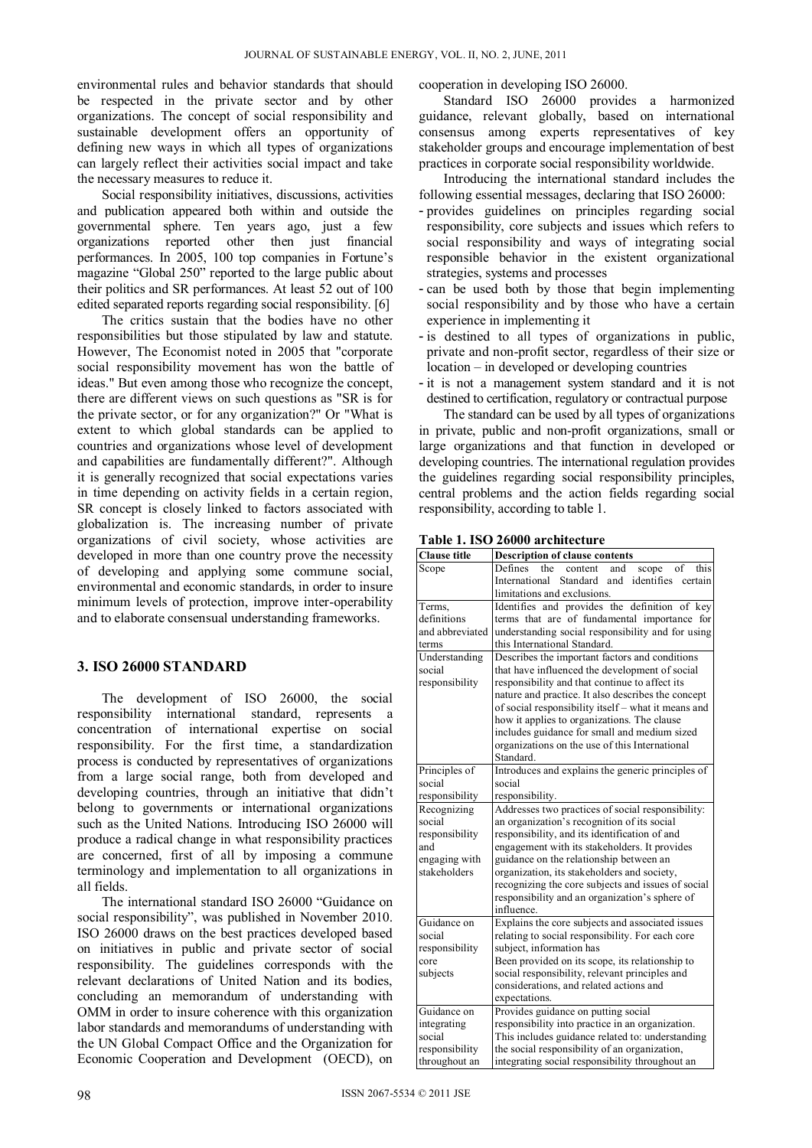environmental rules and behavior standards that should be respected in the private sector and by other organizations. The concept of social responsibility and sustainable development offers an opportunity of defining new ways in which all types of organizations can largely reflect their activities social impact and take the necessary measures to reduce it.

Social responsibility initiatives, discussions, activities and publication appeared both within and outside the governmental sphere. Ten years ago, just a few organizations reported other then just financial performances. In 2005, 100 top companies in Fortune's magazine "Global 250" reported to the large public about their politics and SR performances. At least 52 out of 100 edited separated reports regarding social responsibility. [6]

The critics sustain that the bodies have no other responsibilities but those stipulated by law and statute. However, The Economist noted in 2005 that "corporate social responsibility movement has won the battle of ideas." But even among those who recognize the concept, there are different views on such questions as "SR is for the private sector, or for any organization?" Or "What is extent to which global standards can be applied to countries and organizations whose level of development and capabilities are fundamentally different?". Although it is generally recognized that social expectations varies in time depending on activity fields in a certain region, SR concept is closely linked to factors associated with globalization is. The increasing number of private organizations of civil society, whose activities are developed in more than one country prove the necessity of developing and applying some commune social, environmental and economic standards, in order to insure minimum levels of protection, improve inter-operability and to elaborate consensual understanding frameworks.

#### **3. ISO 26000 STANDARD**

The development of ISO 26000, the social responsibility international standard, represents a concentration of international expertise on social responsibility. For the first time, a standardization process is conducted by representatives of organizations from a large social range, both from developed and developing countries, through an initiative that didn't belong to governments or international organizations such as the United Nations. Introducing ISO 26000 will produce a radical change in what responsibility practices are concerned, first of all by imposing a commune terminology and implementation to all organizations in all fields.

The international standard ISO 26000 "Guidance on social responsibility", was published in November 2010. ISO 26000 draws on the best practices developed based on initiatives in public and private sector of social responsibility. The guidelines corresponds with the relevant declarations of United Nation and its bodies, concluding an memorandum of understanding with OMM in order to insure coherence with this organization labor standards and memorandums of understanding with the UN Global Compact Office and the Organization for Economic Cooperation and Development (OECD), on

cooperation in developing ISO 26000.

Standard ISO 26000 provides a harmonized guidance, relevant globally, based on international consensus among experts representatives of key stakeholder groups and encourage implementation of best practices in corporate social responsibility worldwide.

Introducing the international standard includes the following essential messages, declaring that ISO 26000:

- provides guidelines on principles regarding social responsibility, core subjects and issues which refers to social responsibility and ways of integrating social responsible behavior in the existent organizational strategies, systems and processes
- can be used both by those that begin implementing social responsibility and by those who have a certain experience in implementing it
- is destined to all types of organizations in public, private and non-profit sector, regardless of their size or location – in developed or developing countries
- it is not a management system standard and it is not destined to certification, regulatory or contractual purpose

The standard can be used by all types of organizations in private, public and non-profit organizations, small or large organizations and that function in developed or developing countries. The international regulation provides the guidelines regarding social responsibility principles, central problems and the action fields regarding social responsibility, according to table 1.

| <b>Clause title</b> | <b>Description of clause contents</b>                     |  |  |  |  |  |  |  |
|---------------------|-----------------------------------------------------------|--|--|--|--|--|--|--|
| Scope               | Defines<br>the<br>content<br>and<br>scope<br>of<br>this   |  |  |  |  |  |  |  |
|                     | International<br>Standard<br>and<br>identifies<br>certain |  |  |  |  |  |  |  |
|                     | limitations and exclusions.                               |  |  |  |  |  |  |  |
| Terms.              | Identifies and provides the definition of key             |  |  |  |  |  |  |  |
| definitions         | terms that are of fundamental importance for              |  |  |  |  |  |  |  |
| and abbreviated     | understanding social responsibility and for using         |  |  |  |  |  |  |  |
| terms               | this International Standard.                              |  |  |  |  |  |  |  |
| Understanding       | Describes the important factors and conditions            |  |  |  |  |  |  |  |
| social              | that have influenced the development of social            |  |  |  |  |  |  |  |
| responsibility      | responsibility and that continue to affect its            |  |  |  |  |  |  |  |
|                     | nature and practice. It also describes the concept        |  |  |  |  |  |  |  |
|                     | of social responsibility itself – what it means and       |  |  |  |  |  |  |  |
|                     | how it applies to organizations. The clause               |  |  |  |  |  |  |  |
|                     | includes guidance for small and medium sized              |  |  |  |  |  |  |  |
|                     | organizations on the use of this International            |  |  |  |  |  |  |  |
|                     | Standard.                                                 |  |  |  |  |  |  |  |
| Principles of       | Introduces and explains the generic principles of         |  |  |  |  |  |  |  |
| social              | social                                                    |  |  |  |  |  |  |  |
| responsibility      | responsibility.                                           |  |  |  |  |  |  |  |
| Recognizing         | Addresses two practices of social responsibility:         |  |  |  |  |  |  |  |
| social              | an organization's recognition of its social               |  |  |  |  |  |  |  |
| responsibility      | responsibility, and its identification of and             |  |  |  |  |  |  |  |
| and                 | engagement with its stakeholders. It provides             |  |  |  |  |  |  |  |
| engaging with       | guidance on the relationship between an                   |  |  |  |  |  |  |  |
| stakeholders        | organization, its stakeholders and society,               |  |  |  |  |  |  |  |
|                     | recognizing the core subjects and issues of social        |  |  |  |  |  |  |  |
|                     | responsibility and an organization's sphere of            |  |  |  |  |  |  |  |
|                     | influence.                                                |  |  |  |  |  |  |  |
| Guidance on         | Explains the core subjects and associated issues          |  |  |  |  |  |  |  |
| social              | relating to social responsibility. For each core          |  |  |  |  |  |  |  |
| responsibility      | subject, information has                                  |  |  |  |  |  |  |  |
| core                | Been provided on its scope, its relationship to           |  |  |  |  |  |  |  |
| subjects            | social responsibility, relevant principles and            |  |  |  |  |  |  |  |
|                     | considerations, and related actions and                   |  |  |  |  |  |  |  |
|                     | expectations.                                             |  |  |  |  |  |  |  |
| Guidance on         | Provides guidance on putting social                       |  |  |  |  |  |  |  |
| integrating         | responsibility into practice in an organization.          |  |  |  |  |  |  |  |
| social              | This includes guidance related to: understanding          |  |  |  |  |  |  |  |
| responsibility      | the social responsibility of an organization,             |  |  |  |  |  |  |  |
| throughout an       | integrating social responsibility throughout an           |  |  |  |  |  |  |  |

**Table 1. ISO 26000 architecture**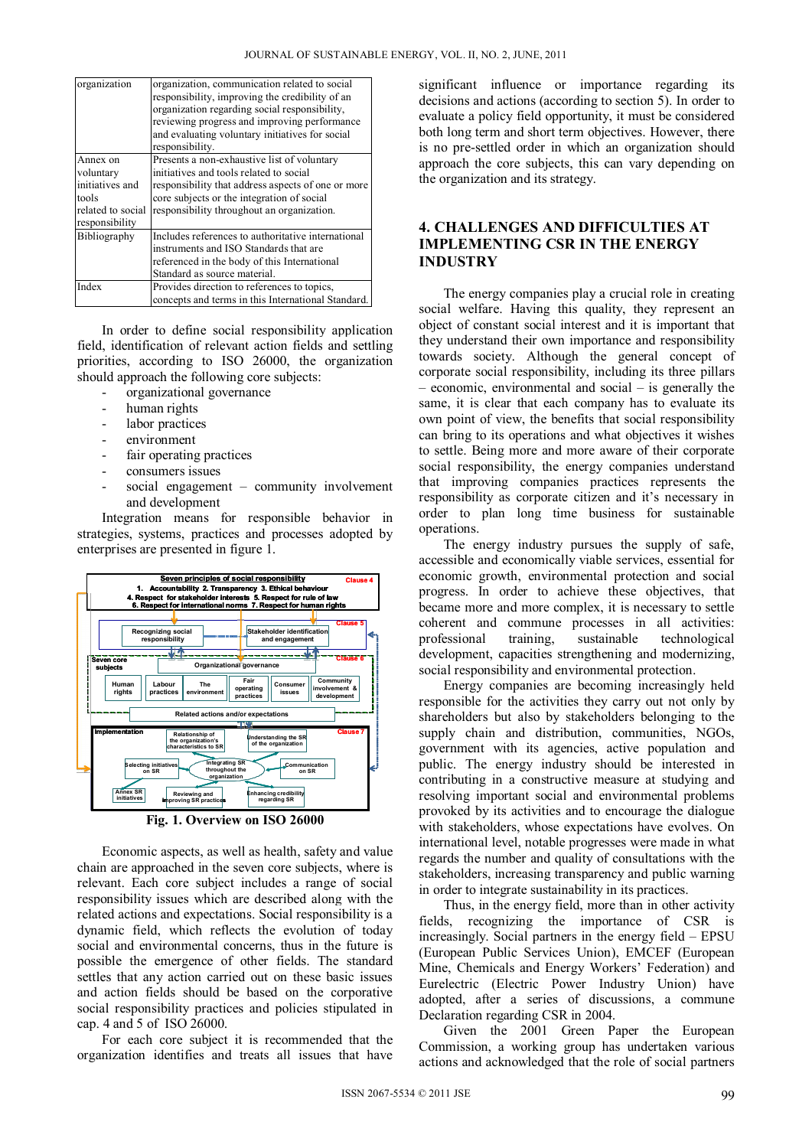| organization                        | organization, communication related to social<br>responsibility, improving the credibility of an<br>organization regarding social responsibility,<br>reviewing progress and improving performance<br>and evaluating voluntary initiatives for social<br>responsibility. |  |  |  |  |
|-------------------------------------|-------------------------------------------------------------------------------------------------------------------------------------------------------------------------------------------------------------------------------------------------------------------------|--|--|--|--|
| Annex on                            | Presents a non-exhaustive list of voluntary                                                                                                                                                                                                                             |  |  |  |  |
| voluntary                           | initiatives and tools related to social                                                                                                                                                                                                                                 |  |  |  |  |
| initiatives and                     | responsibility that address aspects of one or more                                                                                                                                                                                                                      |  |  |  |  |
| tools                               | core subjects or the integration of social                                                                                                                                                                                                                              |  |  |  |  |
| related to social<br>responsibility | responsibility throughout an organization.                                                                                                                                                                                                                              |  |  |  |  |
| Bibliography                        | Includes references to authoritative international                                                                                                                                                                                                                      |  |  |  |  |
|                                     | instruments and ISO Standards that are                                                                                                                                                                                                                                  |  |  |  |  |
|                                     | referenced in the body of this International                                                                                                                                                                                                                            |  |  |  |  |
|                                     | Standard as source material.                                                                                                                                                                                                                                            |  |  |  |  |
| Index                               | Provides direction to references to topics,                                                                                                                                                                                                                             |  |  |  |  |
|                                     | concepts and terms in this International Standard.                                                                                                                                                                                                                      |  |  |  |  |

In order to define social responsibility application field, identification of relevant action fields and settling priorities, according to ISO 26000, the organization should approach the following core subjects:

- organizational governance
- human rights
- labor practices
- environment
- fair operating practices
- consumers issues
- social engagement community involvement and development

Integration means for responsible behavior in strategies, systems, practices and processes adopted by enterprises are presented in figure 1.



**Fig. 1. Overview on ISO 26000** 

Economic aspects, as well as health, safety and value chain are approached in the seven core subjects, where is relevant. Each core subject includes a range of social responsibility issues which are described along with the related actions and expectations. Social responsibility is a dynamic field, which reflects the evolution of today social and environmental concerns, thus in the future is possible the emergence of other fields. The standard settles that any action carried out on these basic issues and action fields should be based on the corporative social responsibility practices and policies stipulated in cap. 4 and 5 of ISO 26000.

For each core subject it is recommended that the organization identifies and treats all issues that have

significant influence or importance regarding its decisions and actions (according to section 5). In order to evaluate a policy field opportunity, it must be considered both long term and short term objectives. However, there is no pre-settled order in which an organization should approach the core subjects, this can vary depending on the organization and its strategy.

## **4. CHALLENGES AND DIFFICULTIES AT IMPLEMENTING CSR IN THE ENERGY INDUSTRY**

The energy companies play a crucial role in creating social welfare. Having this quality, they represent an object of constant social interest and it is important that they understand their own importance and responsibility towards society. Although the general concept of corporate social responsibility, including its three pillars – economic, environmental and social – is generally the same, it is clear that each company has to evaluate its own point of view, the benefits that social responsibility can bring to its operations and what objectives it wishes to settle. Being more and more aware of their corporate social responsibility, the energy companies understand that improving companies practices represents the responsibility as corporate citizen and it's necessary in order to plan long time business for sustainable operations.

The energy industry pursues the supply of safe, accessible and economically viable services, essential for economic growth, environmental protection and social progress. In order to achieve these objectives, that became more and more complex, it is necessary to settle coherent and commune processes in all activities: professional training, sustainable technological development, capacities strengthening and modernizing, social responsibility and environmental protection.

Energy companies are becoming increasingly held responsible for the activities they carry out not only by shareholders but also by stakeholders belonging to the supply chain and distribution, communities, NGOs, government with its agencies, active population and public. The energy industry should be interested in contributing in a constructive measure at studying and resolving important social and environmental problems provoked by its activities and to encourage the dialogue with stakeholders, whose expectations have evolves. On international level, notable progresses were made in what regards the number and quality of consultations with the stakeholders, increasing transparency and public warning in order to integrate sustainability in its practices.

Thus, in the energy field, more than in other activity fields, recognizing the importance of CSR is increasingly. Social partners in the energy field – EPSU (European Public Services Union), EMCEF (European Mine, Chemicals and Energy Workers' Federation) and Eurelectric (Electric Power Industry Union) have adopted, after a series of discussions, a commune Declaration regarding CSR in 2004.

Given the 2001 Green Paper the European Commission, a working group has undertaken various actions and acknowledged that the role of social partners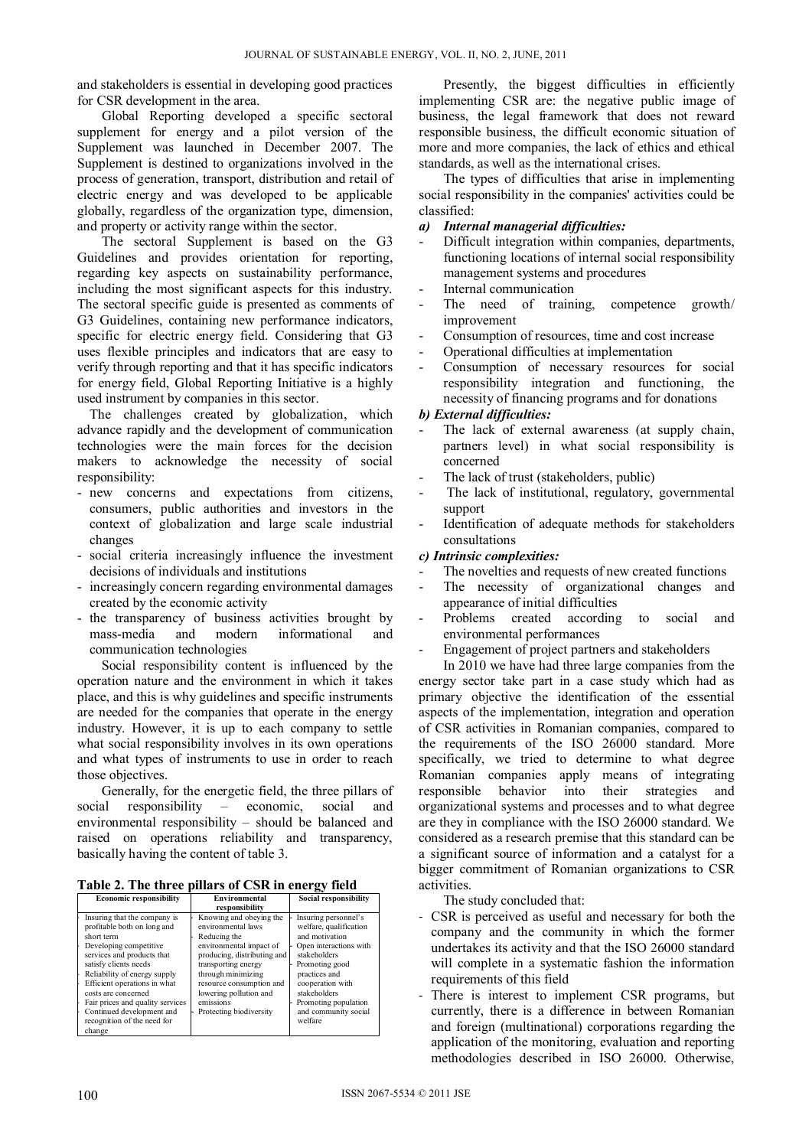and stakeholders is essential in developing good practices for CSR development in the area.

Global Reporting developed a specific sectoral supplement for energy and a pilot version of the Supplement was launched in December 2007. The Supplement is destined to organizations involved in the process of generation, transport, distribution and retail of electric energy and was developed to be applicable globally, regardless of the organization type, dimension, and property or activity range within the sector.

The sectoral Supplement is based on the G3 Guidelines and provides orientation for reporting, regarding key aspects on sustainability performance, including the most significant aspects for this industry. The sectoral specific guide is presented as comments of G3 Guidelines, containing new performance indicators, specific for electric energy field. Considering that G3 uses flexible principles and indicators that are easy to verify through reporting and that it has specific indicators for energy field, Global Reporting Initiative is a highly used instrument by companies in this sector.

The challenges created by globalization, which advance rapidly and the development of communication technologies were the main forces for the decision makers to acknowledge the necessity of social responsibility:

- new concerns and expectations from citizens, consumers, public authorities and investors in the context of globalization and large scale industrial changes
- social criteria increasingly influence the investment decisions of individuals and institutions
- increasingly concern regarding environmental damages created by the economic activity
- the transparency of business activities brought by<br>mass-media and modern informational and mass-media and modern informational and communication technologies

Social responsibility content is influenced by the operation nature and the environment in which it takes place, and this is why guidelines and specific instruments are needed for the companies that operate in the energy industry. However, it is up to each company to settle what social responsibility involves in its own operations and what types of instruments to use in order to reach those objectives.

Generally, for the energetic field, the three pillars of social responsibility – economic, social and environmental responsibility – should be balanced and raised on operations reliability and transparency, basically having the content of table 3.

**Table 2. The three pillars of CSR in energy field** 

| <b>Economic responsibility</b>                                                                                                                                                                                                                                                                                                                    | Environmental                                                                                                                                                                                                                                                      | <b>Social responsibility</b>                                                                                                                                                                                                                 |  |  |
|---------------------------------------------------------------------------------------------------------------------------------------------------------------------------------------------------------------------------------------------------------------------------------------------------------------------------------------------------|--------------------------------------------------------------------------------------------------------------------------------------------------------------------------------------------------------------------------------------------------------------------|----------------------------------------------------------------------------------------------------------------------------------------------------------------------------------------------------------------------------------------------|--|--|
|                                                                                                                                                                                                                                                                                                                                                   | responsibility                                                                                                                                                                                                                                                     |                                                                                                                                                                                                                                              |  |  |
| Insuring that the company is<br>profitable both on long and<br>short term<br>Developing competitive<br>services and products that<br>satisfy clients needs<br>Reliability of energy supply<br>Efficient operations in what<br>costs are concerned<br>Fair prices and quality services<br>Continued development and<br>recognition of the need for | Knowing and obeying the<br>environmental laws<br>Reducing the<br>environmental impact of<br>producing, distributing and<br>transporting energy<br>through minimizing<br>resource consumption and<br>lowering pollution and<br>emissions<br>Protecting biodiversity | Insuring personnel's<br>welfare, qualification<br>and motivation<br>Open interactions with<br>stakeholders<br>Promoting good<br>practices and<br>cooperation with<br>stakeholders<br>Promoting population<br>and community social<br>welfare |  |  |
| change                                                                                                                                                                                                                                                                                                                                            |                                                                                                                                                                                                                                                                    |                                                                                                                                                                                                                                              |  |  |

Presently, the biggest difficulties in efficiently implementing CSR are: the negative public image of business, the legal framework that does not reward responsible business, the difficult economic situation of more and more companies, the lack of ethics and ethical standards, as well as the international crises.

The types of difficulties that arise in implementing social responsibility in the companies' activities could be classified:

- *a) Internal managerial difficulties:*
- Difficult integration within companies, departments, functioning locations of internal social responsibility management systems and procedures
- Internal communication
- The need of training, competence growth/ improvement
- Consumption of resources, time and cost increase
- Operational difficulties at implementation
- Consumption of necessary resources for social responsibility integration and functioning, the necessity of financing programs and for donations

## *b) External difficulties:*

- The lack of external awareness (at supply chain, partners level) in what social responsibility is concerned
- The lack of trust (stakeholders, public)
- The lack of institutional, regulatory, governmental support
- Identification of adequate methods for stakeholders consultations

#### *c) Intrinsic complexities:*

- The novelties and requests of new created functions
- The necessity of organizational changes and appearance of initial difficulties
- Problems created according to social and environmental performances
- Engagement of project partners and stakeholders

In 2010 we have had three large companies from the energy sector take part in a case study which had as primary objective the identification of the essential aspects of the implementation, integration and operation of CSR activities in Romanian companies, compared to the requirements of the ISO 26000 standard. More specifically, we tried to determine to what degree Romanian companies apply means of integrating responsible behavior into their strategies and organizational systems and processes and to what degree are they in compliance with the ISO 26000 standard. We considered as a research premise that this standard can be a significant source of information and a catalyst for a bigger commitment of Romanian organizations to CSR activities.

The study concluded that:

- CSR is perceived as useful and necessary for both the company and the community in which the former undertakes its activity and that the ISO 26000 standard will complete in a systematic fashion the information requirements of this field
- There is interest to implement CSR programs, but currently, there is a difference in between Romanian and foreign (multinational) corporations regarding the application of the monitoring, evaluation and reporting methodologies described in ISO 26000. Otherwise,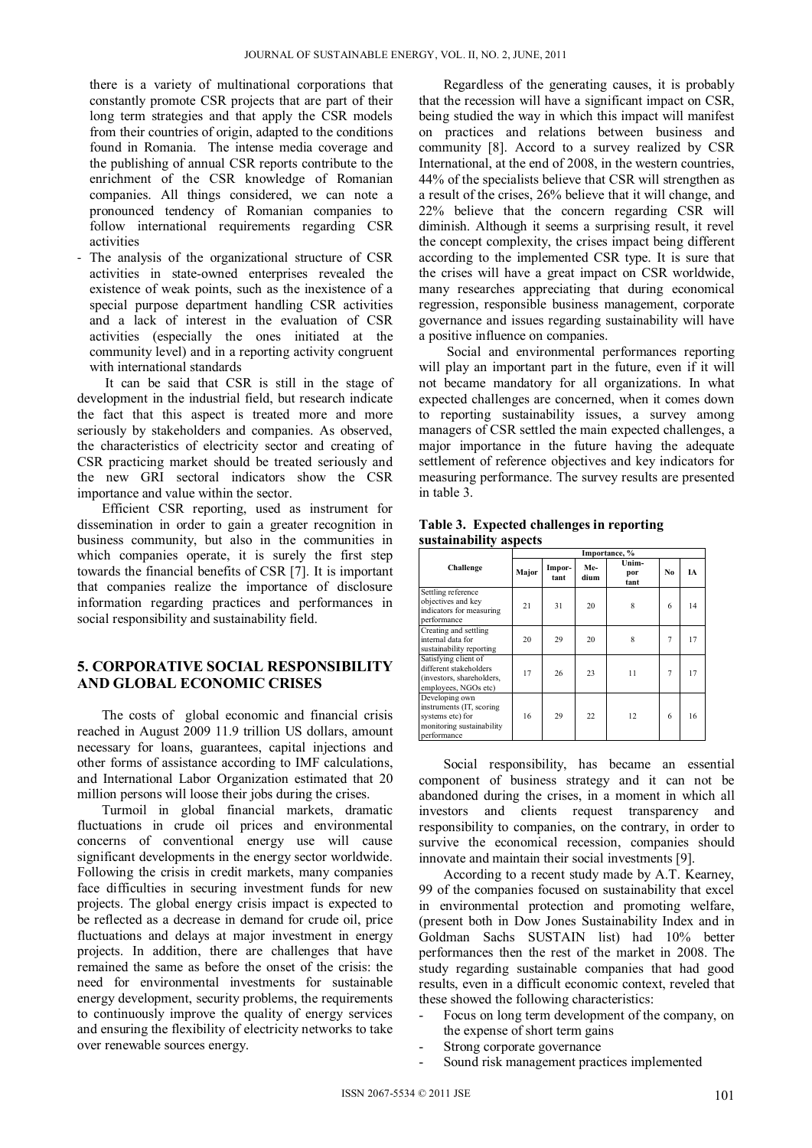there is a variety of multinational corporations that constantly promote CSR projects that are part of their long term strategies and that apply the CSR models from their countries of origin, adapted to the conditions found in Romania. The intense media coverage and the publishing of annual CSR reports contribute to the enrichment of the CSR knowledge of Romanian companies. All things considered, we can note a pronounced tendency of Romanian companies to follow international requirements regarding CSR activities

- The analysis of the organizational structure of CSR activities in state-owned enterprises revealed the existence of weak points, such as the inexistence of a special purpose department handling CSR activities and a lack of interest in the evaluation of CSR activities (especially the ones initiated at the community level) and in a reporting activity congruent with international standards

 It can be said that CSR is still in the stage of development in the industrial field, but research indicate the fact that this aspect is treated more and more seriously by stakeholders and companies. As observed, the characteristics of electricity sector and creating of CSR practicing market should be treated seriously and the new GRI sectoral indicators show the CSR importance and value within the sector.

Efficient CSR reporting, used as instrument for dissemination in order to gain a greater recognition in business community, but also in the communities in which companies operate, it is surely the first step towards the financial benefits of CSR [7]. It is important that companies realize the importance of disclosure information regarding practices and performances in social responsibility and sustainability field.

# **5. CORPORATIVE SOCIAL RESPONSIBILITY AND GLOBAL ECONOMIC CRISES**

The costs of global economic and financial crisis reached in August 2009 11.9 trillion US dollars, amount necessary for loans, guarantees, capital injections and other forms of assistance according to IMF calculations, and International Labor Organization estimated that 20 million persons will loose their jobs during the crises.

Turmoil in global financial markets, dramatic fluctuations in crude oil prices and environmental concerns of conventional energy use will cause significant developments in the energy sector worldwide. Following the crisis in credit markets, many companies face difficulties in securing investment funds for new projects. The global energy crisis impact is expected to be reflected as a decrease in demand for crude oil, price fluctuations and delays at major investment in energy projects. In addition, there are challenges that have remained the same as before the onset of the crisis: the need for environmental investments for sustainable energy development, security problems, the requirements to continuously improve the quality of energy services and ensuring the flexibility of electricity networks to take over renewable sources energy.

Regardless of the generating causes, it is probably that the recession will have a significant impact on CSR, being studied the way in which this impact will manifest on practices and relations between business and community [8]. Accord to a survey realized by CSR International, at the end of 2008, in the western countries, 44% of the specialists believe that CSR will strengthen as a result of the crises, 26% believe that it will change, and 22% believe that the concern regarding CSR will diminish. Although it seems a surprising result, it revel the concept complexity, the crises impact being different according to the implemented CSR type. It is sure that the crises will have a great impact on CSR worldwide, many researches appreciating that during economical regression, responsible business management, corporate governance and issues regarding sustainability will have a positive influence on companies.

 Social and environmental performances reporting will play an important part in the future, even if it will not became mandatory for all organizations. In what expected challenges are concerned, when it comes down to reporting sustainability issues, a survey among managers of CSR settled the main expected challenges, a major importance in the future having the adequate settlement of reference objectives and key indicators for measuring performance. The survey results are presented in table 3.

**Table 3. Expected challenges in reporting sustainability aspects** 

|                                                                                                            | Importance, % |                |             |                      |    |    |
|------------------------------------------------------------------------------------------------------------|---------------|----------------|-------------|----------------------|----|----|
| Challenge                                                                                                  | Major         | Impor-<br>tant | Me-<br>dium | Unim-<br>por<br>tant | No | ĪА |
| Settling reference<br>objectives and key<br>indicators for measuring<br>performance                        | 21            | 31             | 20          | 8                    | 6  | 14 |
| Creating and settling<br>internal data for<br>sustainability reporting                                     | 20            | 29             | 20          | 8                    | 7  | 17 |
| Satisfying client of<br>different stakeholders<br>(investors, shareholders,<br>employees, NGOs etc)        | 17            | 26             | 23          | 11                   | 7  | 17 |
| Developing own<br>instruments (IT, scoring<br>systems etc) for<br>monitoring sustainability<br>performance | 16            | 29             | 22          | 12                   | 6  | 16 |

Social responsibility, has became an essential component of business strategy and it can not be abandoned during the crises, in a moment in which all investors and clients request transparency and responsibility to companies, on the contrary, in order to survive the economical recession, companies should innovate and maintain their social investments [9].

According to a recent study made by A.T. Kearney, 99 of the companies focused on sustainability that excel in environmental protection and promoting welfare, (present both in Dow Jones Sustainability Index and in Goldman Sachs SUSTAIN list) had 10% better performances then the rest of the market in 2008. The study regarding sustainable companies that had good results, even in a difficult economic context, reveled that these showed the following characteristics:

- Focus on long term development of the company, on the expense of short term gains
- Strong corporate governance
- Sound risk management practices implemented